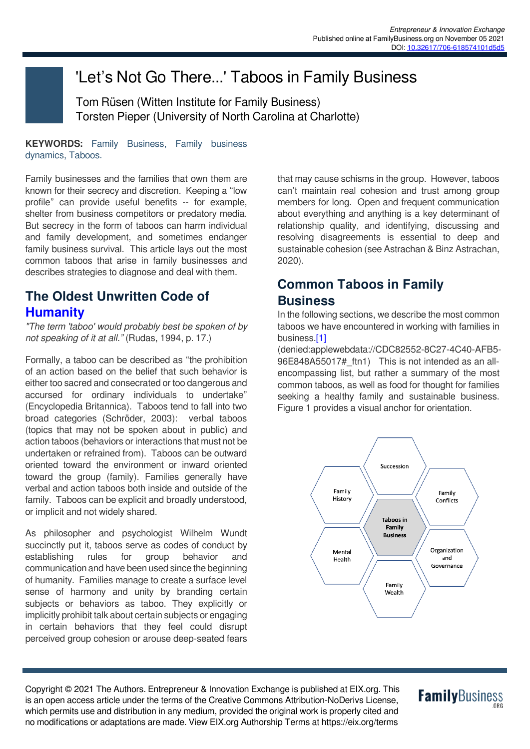# 'Let's Not Go There...' Taboos in Family Business

Tom Rüsen (Witten Institute for Family Business) Torsten Pieper (University of North Carolina at Charlotte)

**KEYWORDS:** Family Business, Family business dynamics, Taboos.

Family businesses and the families that own them are known for their secrecy and discretion. Keeping a "low profile" can provide useful benefits -- for example, shelter from business competitors or predatory media. But secrecy in the form of taboos can harm individual and family development, and sometimes endanger family business survival. This article lays out the most common taboos that arise in family businesses and describes strategies to diagnose and deal with them.

# **The Oldest Unwritten Code of Humanity**

*"The term 'taboo' would probably best be spoken of by not speaking of it at all."* (Rudas, 1994, p. 17.)

Formally, a taboo can be described as "the prohibition of an action based on the belief that such behavior is either too sacred and consecrated or too dangerous and accursed for ordinary individuals to undertake" (Encyclopedia Britannica). Taboos tend to fall into two broad categories (Schröder, 2003): verbal taboos (topics that may not be spoken about in public) and action taboos (behaviors or interactions that must not be undertaken or refrained from). Taboos can be outward oriented toward the environment or inward oriented toward the group (family). Families generally have verbal and action taboos both inside and outside of the family. Taboos can be explicit and broadly understood, or implicit and not widely shared.

As philosopher and psychologist Wilhelm Wundt succinctly put it, taboos serve as codes of conduct by establishing rules for group behavior and communication and have been used since the beginning of humanity. Families manage to create a surface level sense of harmony and unity by branding certain subjects or behaviors as taboo. They explicitly or implicitly prohibit talk about certain subjects or engaging in certain behaviors that they feel could disrupt perceived group cohesion or arouse deep-seated fears that may cause schisms in the group. However, taboos can't maintain real cohesion and trust among group members for long. Open and frequent communication about everything and anything is a key determinant of relationship quality, and identifying, discussing and resolving disagreements is essential to deep and sustainable cohesion (see Astrachan & Binz Astrachan, 2020).

# **Common Taboos in Family Business**

In the following sections, we describe the most common taboos we have encountered in working with families in business[.\[1\]](denied:applewebdata://CDC82552-8C27-4C40-AFB5-96E848A55017#_ftn1)

(denied:applewebdata://CDC82552-8C27-4C40-AFB5- 96E848A55017# ftn1) This is not intended as an allencompassing list, but rather a summary of the most common taboos, as well as food for thought for families seeking a healthy family and sustainable business. Figure 1 provides a visual anchor for orientation.



Copyright © 2021 The Authors. Entrepreneur & Innovation Exchange is published at EIX.org. This is an open access article under the terms of the Creative Commons Attribution-NoDerivs License, which permits use and distribution in any medium, provided the original work is properly cited and no modifications or adaptations are made. View EIX.org Authorship Terms at https://eix.org/terms

# **Family**Business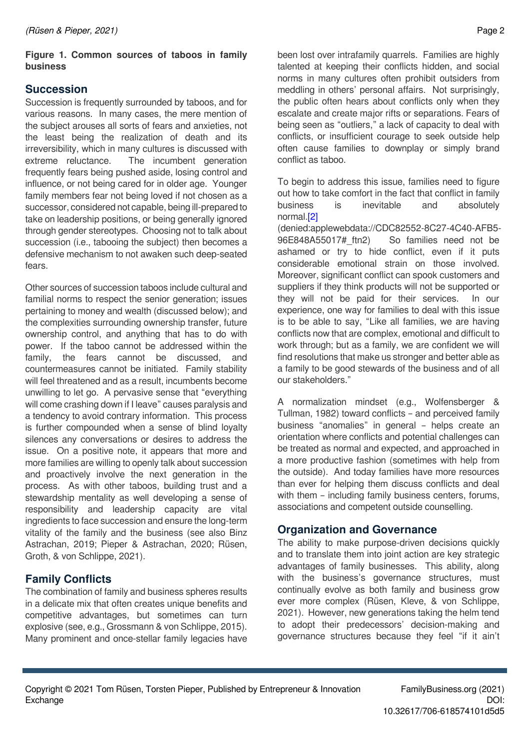#### **Figure 1. Common sources of taboos in family business**

#### **Succession**

Succession is frequently surrounded by taboos, and for various reasons. In many cases, the mere mention of the subject arouses all sorts of fears and anxieties, not the least being the realization of death and its irreversibility, which in many cultures is discussed with extreme reluctance. The incumbent generation frequently fears being pushed aside, losing control and influence, or not being cared for in older age. Younger family members fear not being loved if not chosen as a successor, considered not capable, being ill-prepared to take on leadership positions, or being generally ignored through gender stereotypes. Choosing not to talk about succession (i.e., tabooing the subject) then becomes a defensive mechanism to not awaken such deep-seated fears.

Other sources of succession taboos include cultural and familial norms to respect the senior generation; issues pertaining to money and wealth (discussed below); and the complexities surrounding ownership transfer, future ownership control, and anything that has to do with power. If the taboo cannot be addressed within the family, the fears cannot be discussed, and countermeasures cannot be initiated. Family stability will feel threatened and as a result, incumbents become unwilling to let go. A pervasive sense that "everything will come crashing down if I leave" causes paralysis and a tendency to avoid contrary information. This process is further compounded when a sense of blind loyalty silences any conversations or desires to address the issue. On a positive note, it appears that more and more families are willing to openly talk about succession and proactively involve the next generation in the process. As with other taboos, building trust and a stewardship mentality as well developing a sense of responsibility and leadership capacity are vital ingredients to face succession and ensure the long-term vitality of the family and the business (see also Binz Astrachan, 2019; Pieper & Astrachan, 2020; Rüsen, Groth, & von Schlippe, 2021).

# **Family Conflicts**

The combination of family and business spheres results in a delicate mix that often creates unique benefits and competitive advantages, but sometimes can turn explosive (see, e.g., Grossmann & von Schlippe, 2015). Many prominent and once-stellar family legacies have been lost over intrafamily quarrels. Families are highly talented at keeping their conflicts hidden, and social norms in many cultures often prohibit outsiders from meddling in others' personal affairs. Not surprisingly, the public often hears about conflicts only when they escalate and create major rifts or separations. Fears of being seen as "outliers," a lack of capacity to deal with conflicts, or insufficient courage to seek outside help often cause families to downplay or simply brand conflict as taboo.

To begin to address this issue, families need to figure out how to take comfort in the fact that conflict in family business is inevitable and absolutely normal.[\[2\]](denied:applewebdata://CDC82552-8C27-4C40-AFB5-96E848A55017#_ftn2)

(denied:applewebdata://CDC82552-8C27-4C40-AFB5- 96E848A55017#\_ftn2) So families need not be ashamed or try to hide conflict, even if it puts considerable emotional strain on those involved. Moreover, significant conflict can spook customers and suppliers if they think products will not be supported or they will not be paid for their services. In our experience, one way for families to deal with this issue is to be able to say, "Like all families, we are having conflicts now that are complex, emotional and difficult to work through; but as a family, we are confident we will find resolutions that make us stronger and better able as a family to be good stewards of the business and of all our stakeholders."

A normalization mindset (e.g., Wolfensberger & Tullman, 1982) toward conflicts – and perceived family business "anomalies" in general – helps create an orientation where conflicts and potential challenges can be treated as normal and expected, and approached in a more productive fashion (sometimes with help from the outside). And today families have more resources than ever for helping them discuss conflicts and deal with them – including family business centers, forums, associations and competent outside counselling.

## **Organization and Governance**

The ability to make purpose-driven decisions quickly and to translate them into joint action are key strategic advantages of family businesses. This ability, along with the business's governance structures, must continually evolve as both family and business grow ever more complex (Rüsen, Kleve, & von Schlippe, 2021). However, new generations taking the helm tend to adopt their predecessors' decision-making and governance structures because they feel "if it ain't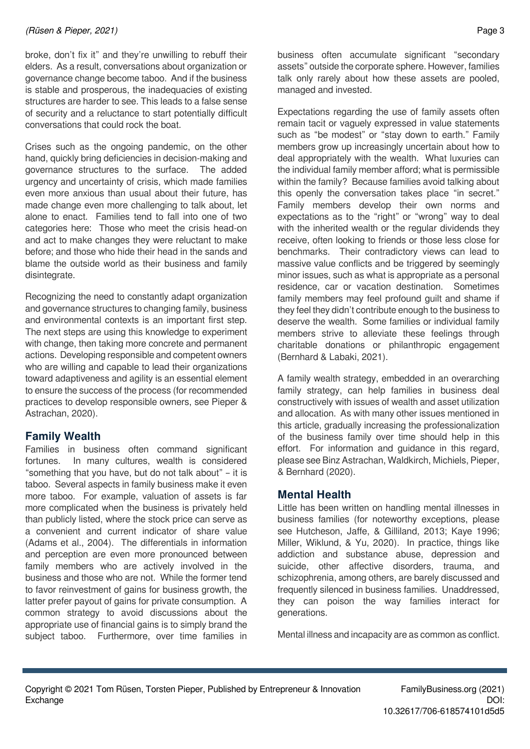broke, don't fix it" and they're unwilling to rebuff their elders. As a result, conversations about organization or governance change become taboo. And if the business is stable and prosperous, the inadequacies of existing structures are harder to see. This leads to a false sense of security and a reluctance to start potentially difficult conversations that could rock the boat.

Crises such as the ongoing pandemic, on the other hand, quickly bring deficiencies in decision-making and governance structures to the surface. The added urgency and uncertainty of crisis, which made families even more anxious than usual about their future, has made change even more challenging to talk about, let alone to enact. Families tend to fall into one of two categories here: Those who meet the crisis head-on and act to make changes they were reluctant to make before; and those who hide their head in the sands and blame the outside world as their business and family disintegrate.

Recognizing the need to constantly adapt organization and governance structures to changing family, business and environmental contexts is an important first step. The next steps are using this knowledge to experiment with change, then taking more concrete and permanent actions. Developing responsible and competent owners who are willing and capable to lead their organizations toward adaptiveness and agility is an essential element to ensure the success of the process (for recommended practices to develop responsible owners, see Pieper & Astrachan, 2020).

## **Family Wealth**

Families in business often command significant fortunes. In many cultures, wealth is considered "something that you have, but do not talk about" – it is taboo. Several aspects in family business make it even more taboo. For example, valuation of assets is far more complicated when the business is privately held than publicly listed, where the stock price can serve as a convenient and current indicator of share value (Adams et al., 2004). The differentials in information and perception are even more pronounced between family members who are actively involved in the business and those who are not. While the former tend to favor reinvestment of gains for business growth, the latter prefer payout of gains for private consumption. A common strategy to avoid discussions about the appropriate use of financial gains is to simply brand the subject taboo. Furthermore, over time families in

business often accumulate significant "secondary assets" outside the corporate sphere. However, families talk only rarely about how these assets are pooled, managed and invested.

Expectations regarding the use of family assets often remain tacit or vaguely expressed in value statements such as "be modest" or "stay down to earth." Family members grow up increasingly uncertain about how to deal appropriately with the wealth. What luxuries can the individual family member afford; what is permissible within the family? Because families avoid talking about this openly the conversation takes place "in secret." Family members develop their own norms and expectations as to the "right" or "wrong" way to deal with the inherited wealth or the regular dividends they receive, often looking to friends or those less close for benchmarks. Their contradictory views can lead to massive value conflicts and be triggered by seemingly minor issues, such as what is appropriate as a personal residence, car or vacation destination. Sometimes family members may feel profound guilt and shame if they feel they didn't contribute enough to the business to deserve the wealth. Some families or individual family members strive to alleviate these feelings through charitable donations or philanthropic engagement (Bernhard & Labaki, 2021).

A family wealth strategy, embedded in an overarching family strategy, can help families in business deal constructively with issues of wealth and asset utilization and allocation. As with many other issues mentioned in this article, gradually increasing the professionalization of the business family over time should help in this effort. For information and guidance in this regard, please see Binz Astrachan, Waldkirch, Michiels, Pieper, & Bernhard (2020).

## **Mental Health**

Little has been written on handling mental illnesses in business families (for noteworthy exceptions, please see Hutcheson, Jaffe, & Gilliland, 2013; Kaye 1996; Miller, Wiklund, & Yu, 2020). In practice, things like addiction and substance abuse, depression and suicide, other affective disorders, trauma, and schizophrenia, among others, are barely discussed and frequently silenced in business families. Unaddressed, they can poison the way families interact for generations.

Mental illness and incapacity are as common as conflict.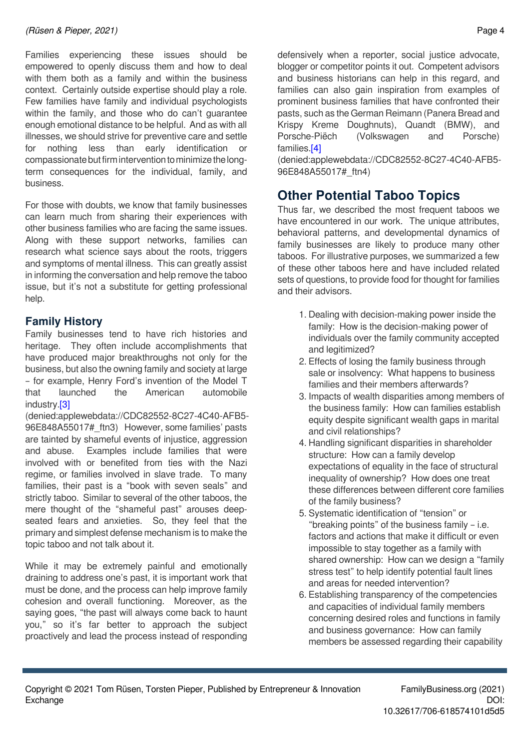Families experiencing these issues should be empowered to openly discuss them and how to deal with them both as a family and within the business context. Certainly outside expertise should play a role. Few families have family and individual psychologists within the family, and those who do can't guarantee enough emotional distance to be helpful. And as with all illnesses, we should strive for preventive care and settle for nothing less than early identification or compassionate but firm intervention to minimize the longterm consequences for the individual, family, and business.

For those with doubts, we know that family businesses can learn much from sharing their experiences with other business families who are facing the same issues. Along with these support networks, families can research what science says about the roots, triggers and symptoms of mental illness. This can greatly assist in informing the conversation and help remove the taboo issue, but it's not a substitute for getting professional help.

## **Family History**

Family businesses tend to have rich histories and heritage. They often include accomplishments that have produced major breakthroughs not only for the business, but also the owning family and society at large – for example, Henry Ford's invention of the Model T that launched the American automobile industry[.\[3\]](denied:applewebdata://CDC82552-8C27-4C40-AFB5-96E848A55017#_ftn3)

(denied:applewebdata://CDC82552-8C27-4C40-AFB5- 96E848A55017# ftn3) However, some families' pasts are tainted by shameful events of injustice, aggression and abuse. Examples include families that were involved with or benefited from ties with the Nazi regime, or families involved in slave trade. To many families, their past is a "book with seven seals" and strictly taboo. Similar to several of the other taboos, the mere thought of the "shameful past" arouses deepseated fears and anxieties. So, they feel that the primary and simplest defense mechanism is to make the topic taboo and not talk about it.

While it may be extremely painful and emotionally draining to address one's past, it is important work that must be done, and the process can help improve family cohesion and overall functioning. Moreover, as the saying goes, "the past will always come back to haunt you," so it's far better to approach the subject proactively and lead the process instead of responding

defensively when a reporter, social justice advocate, blogger or competitor points it out. Competent advisors and business historians can help in this regard, and families can also gain inspiration from examples of prominent business families that have confronted their pasts, such as the German Reimann (Panera Bread and Krispy Kreme Doughnuts), Quandt (BMW), and Porsche-Piëch (Volkswagen and Porsche) families[.\[4\]](denied:applewebdata://CDC82552-8C27-4C40-AFB5-96E848A55017#_ftn4)

(denied:applewebdata://CDC82552-8C27-4C40-AFB5- 96E848A55017#\_ftn4)

# **Other Potential Taboo Topics**

Thus far, we described the most frequent taboos we have encountered in our work. The unique attributes, behavioral patterns, and developmental dynamics of family businesses are likely to produce many other taboos. For illustrative purposes, we summarized a few of these other taboos here and have included related sets of questions, to provide food for thought for families and their advisors.

- 1. Dealing with decision-making power inside the family: How is the decision-making power of individuals over the family community accepted and legitimized?
- 2. Effects of losing the family business through sale or insolvency: What happens to business families and their members afterwards?
- 3. Impacts of wealth disparities among members of the business family: How can families establish equity despite significant wealth gaps in marital and civil relationships?
- 4. Handling significant disparities in shareholder structure: How can a family develop expectations of equality in the face of structural inequality of ownership? How does one treat these differences between different core families of the family business?
- 5. Systematic identification of "tension" or "breaking points" of the business family – i.e. factors and actions that make it difficult or even impossible to stay together as a family with shared ownership: How can we design a "family stress test" to help identify potential fault lines and areas for needed intervention?
- 6. Establishing transparency of the competencies and capacities of individual family members concerning desired roles and functions in family and business governance: How can family members be assessed regarding their capability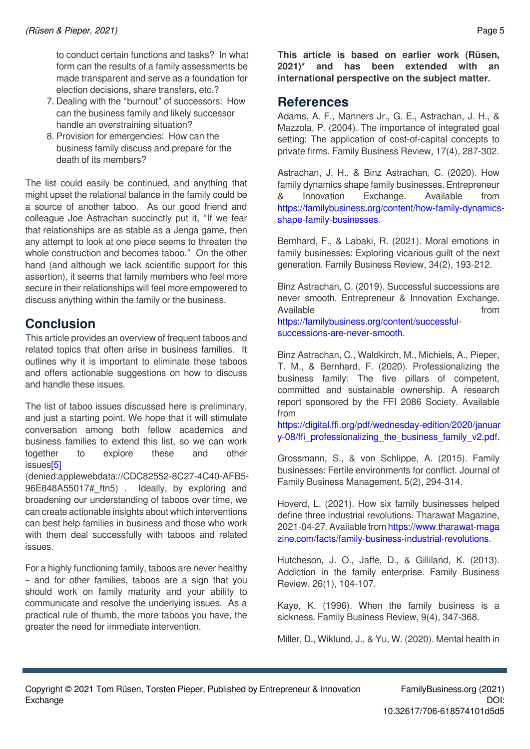to conduct certain functions and tasks? In what form can the results of a family assessments be made transparent and serve as a foundation for election decisions, share transfers, etc.?

- 7. Dealing with the "burnout" of successors: How can the business family and likely successor handle an overstraining situation?
- 8. Provision for emergencies: How can the business family discuss and prepare for the death of its members?

The list could easily be continued, and anything that might upset the relational balance in the family could be a source of another taboo. As our good friend and colleague Joe Astrachan succinctly put it, "If we fear that relationships are as stable as a Jenga game, then any attempt to look at one piece seems to threaten the whole construction and becomes taboo." On the other hand (and although we lack scientific support for this assertion), it seems that family members who feel more secure in their relationships will feel more empowered to discuss anything within the family or the business.

# **Conclusion**

This article provides an overview of frequent taboos and related topics that often arise in business families. It outlines why it is important to eliminate these taboos and offers actionable suggestions on how to discuss and handle these issues.

The list of taboo issues discussed here is preliminary, and just a starting point. We hope that it will stimulate conversation among both fellow academics and business families to extend this list, so we can work together to explore these and other issue[s\[5\]](denied:applewebdata://CDC82552-8C27-4C40-AFB5-96E848A55017#_ftn5)

(denied:applewebdata://CDC82552-8C27-4C40-AFB5- 96E848A55017# ftn5) . Ideally, by exploring and broadening our understanding of taboos over time, we can create actionable insights about which interventions can best help families in business and those who work with them deal successfully with taboos and related issues.

For a highly functioning family, taboos are never healthy – and for other families, taboos are a sign that you should work on family maturity and your ability to communicate and resolve the underlying issues. As a practical rule of thumb, the more taboos you have, the greater the need for immediate intervention.

**This article is based on earlier work (Rüsen, 2021)\* and has been extended with an international perspective on the subject matter.** 

## **References**

Adams, A. F., Manners Jr., G. E., Astrachan, J. H., & Mazzola, P. (2004). The importance of integrated goal setting: The application of cost-of-capital concepts to private firms. Family Business Review, 17(4), 287-302.

Astrachan, J. H., & Binz Astrachan, C. (2020). How family dynamics shape family businesses. Entrepreneur & Innovation Exchange. Available from [https://familybusiness.org/content/how-family-dynamics](https://familybusiness.org/content/how-family-dynamics-shape-family-businesses)[shape-family-businesses.](https://familybusiness.org/content/how-family-dynamics-shape-family-businesses)

Bernhard, F., & Labaki, R. (2021). Moral emotions in family businesses: Exploring vicarious guilt of the next generation. Family Business Review, 34(2), 193-212.

Binz Astrachan, C. (2019). Successful successions are never smooth. Entrepreneur & Innovation Exchange. Available **from** *Available* [https://familybusiness.org/content/successful](https://familybusiness.org/content/successful-successions-are-never-smooth)[successions-are-never-smooth](https://familybusiness.org/content/successful-successions-are-never-smooth).

Binz Astrachan, C., Waldkirch, M., Michiels, A., Pieper, T. M., & Bernhard, F. (2020). Professionalizing the business family: The five pillars of competent, committed and sustainable ownership. A research report sponsored by the FFI 2086 Society. Available from

[https://digital.ffi.org/pdf/wednesday-edition/2020/januar](https://digital.ffi.org/pdf/wednesday-edition/2020/january-08/ffi_professionalizing_the_business_family_v2.pdf) [y-08/ffi\\_professionalizing\\_the\\_business\\_family\\_v2.pdf.](https://digital.ffi.org/pdf/wednesday-edition/2020/january-08/ffi_professionalizing_the_business_family_v2.pdf)

Grossmann, S., & von Schlippe, A. (2015). Family businesses: Fertile environments for conflict. Journal of Family Business Management, 5(2), 294-314.

Hoverd, L. (2021). How six family businesses helped define three industrial revolutions. Tharawat Magazine, 2021-04-27. Available from [https://www.tharawat-maga](https://www.tharawat-magazine.com/facts/family-business-industrial-revolutions) [zine.com/facts/family-business-industrial-revolutions](https://www.tharawat-magazine.com/facts/family-business-industrial-revolutions).

Hutcheson, J. O., Jaffe, D., & Gilliland, K. (2013). Addiction in the family enterprise. Family Business Review, 26(1), 104-107.

Kaye, K. (1996). When the family business is a sickness. Family Business Review, 9(4), 347-368.

Miller, D., Wiklund, J., & Yu, W. (2020). Mental health in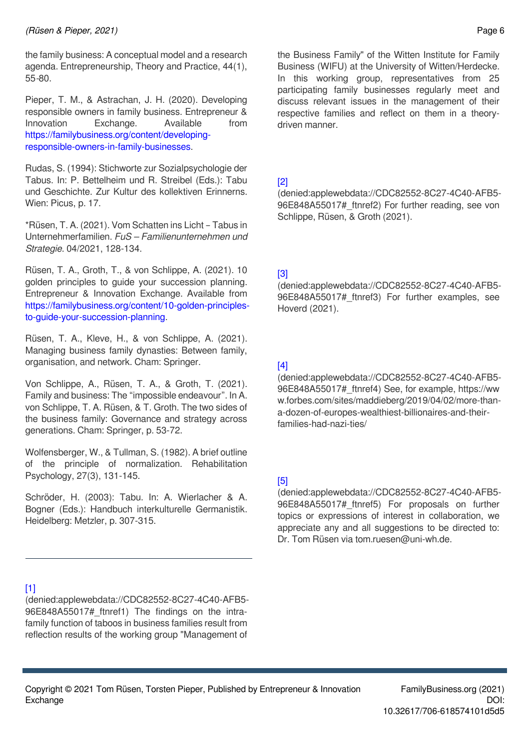the family business: A conceptual model and a research agenda. Entrepreneurship, Theory and Practice, 44(1), 55*-*80.

Pieper, T. M., & Astrachan, J. H. (2020). Developing responsible owners in family business. Entrepreneur & Innovation Exchange. Available from [https://familybusiness.org/content/developing](https://familybusiness.org/content/developing-responsible-owners-in-family-businesses)[responsible-owners-in-family-businesses](https://familybusiness.org/content/developing-responsible-owners-in-family-businesses).

Rudas, S. (1994): Stichworte zur Sozialpsychologie der Tabus. In: P. Bettelheim und R. Streibel (Eds.): Tabu und Geschichte. Zur Kultur des kollektiven Erinnerns. Wien: Picus, p. 17.

\*Rüsen, T. A. (2021). Vom Schatten ins Licht – Tabus in Unternehmerfamilien. *FuS – Familienunternehmen und Strategie*. 04/2021, 128-134.

Rüsen, T. A., Groth, T., & von Schlippe, A. (2021). 10 golden principles to guide your succession planning. Entrepreneur & Innovation Exchange. Available from [https://familybusiness.org/content/10-golden-principles](https://familybusiness.org/content/10-golden-principles-to-guide-your-succession-planning)[to-guide-your-succession-planning.](https://familybusiness.org/content/10-golden-principles-to-guide-your-succession-planning)

Rüsen, T. A., Kleve, H., & von Schlippe, A. (2021). Managing business family dynasties: Between family, organisation, and network. Cham: Springer.

Von Schlippe, A., Rüsen, T. A., & Groth, T. (2021). Family and business: The "impossible endeavour". In A. von Schlippe, T. A. Rüsen, & T. Groth. The two sides of the business family: Governance and strategy across generations. Cham: Springer, p. 53-72.

Wolfensberger, W., & Tullman, S. (1982). A brief outline of the principle of normalization. Rehabilitation Psychology, 27(3), 131-145.

Schröder, H. (2003): Tabu. In: A. Wierlacher & A. Bogner (Eds.): Handbuch interkulturelle Germanistik. Heidelberg: Metzler, p. 307-315.

the Business Family" of the Witten Institute for Family Business (WIFU) at the University of Witten/Herdecke. In this working group, representatives from 25 participating family businesses regularly meet and discuss relevant issues in the management of their respective families and reflect on them in a theorydriven manner.

#### [\[2\]](denied:applewebdata://CDC82552-8C27-4C40-AFB5-96E848A55017#_ftnref2)

(denied:applewebdata://CDC82552-8C27-4C40-AFB5- 96E848A55017# ftnref2) For further reading, see von Schlippe, Rüsen, & Groth (2021).

#### [\[3\]](denied:applewebdata://CDC82552-8C27-4C40-AFB5-96E848A55017#_ftnref3)

(denied:applewebdata://CDC82552-8C27-4C40-AFB5- 96E848A55017# ftnref3) For further examples, see Hoverd (2021).

### [\[4\]](denied:applewebdata://CDC82552-8C27-4C40-AFB5-96E848A55017#_ftnref4)

(denied:applewebdata://CDC82552-8C27-4C40-AFB5- 96E848A55017#\_ftnref4) See, for example, https://ww w.forbes.com/sites/maddieberg/2019/04/02/more-thana-dozen-of-europes-wealthiest-billionaires-and-theirfamilies-had-nazi-ties/

#### [\[5\]](denied:applewebdata://CDC82552-8C27-4C40-AFB5-96E848A55017#_ftnref5)

(denied:applewebdata://CDC82552-8C27-4C40-AFB5- 96E848A55017# ftnref5) For proposals on further topics or expressions of interest in collaboration, we appreciate any and all suggestions to be directed to: Dr. Tom Rüsen via tom.ruesen@uni-wh.de.

#### [\[1\]](denied:applewebdata://CDC82552-8C27-4C40-AFB5-96E848A55017#_ftnref1)

(denied:applewebdata://CDC82552-8C27-4C40-AFB5- 96E848A55017# ftnref1) The findings on the intrafamily function of taboos in business families result from reflection results of the working group "Management of